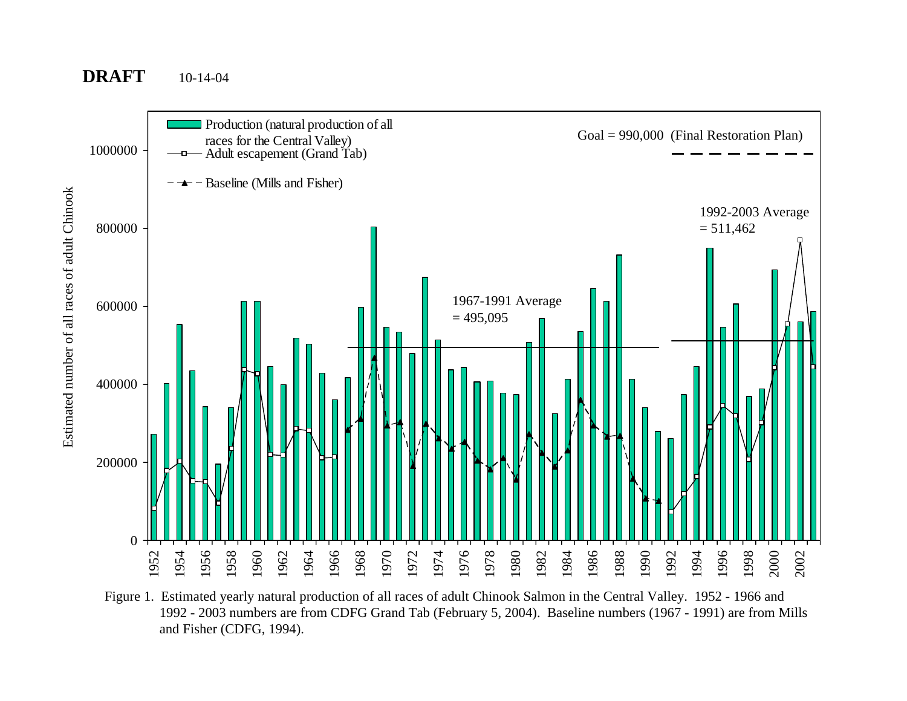

Figure 1. Estimated yearly natural production of all races of adult Chinook Salmon in the Central Valley. 1952 - 1966 and 1992 - 2003 numbers are from CDFG Grand Tab (February 5, 2004). Baseline numbers (1967 - 1991) are from Mills and Fisher (CDFG, 1994).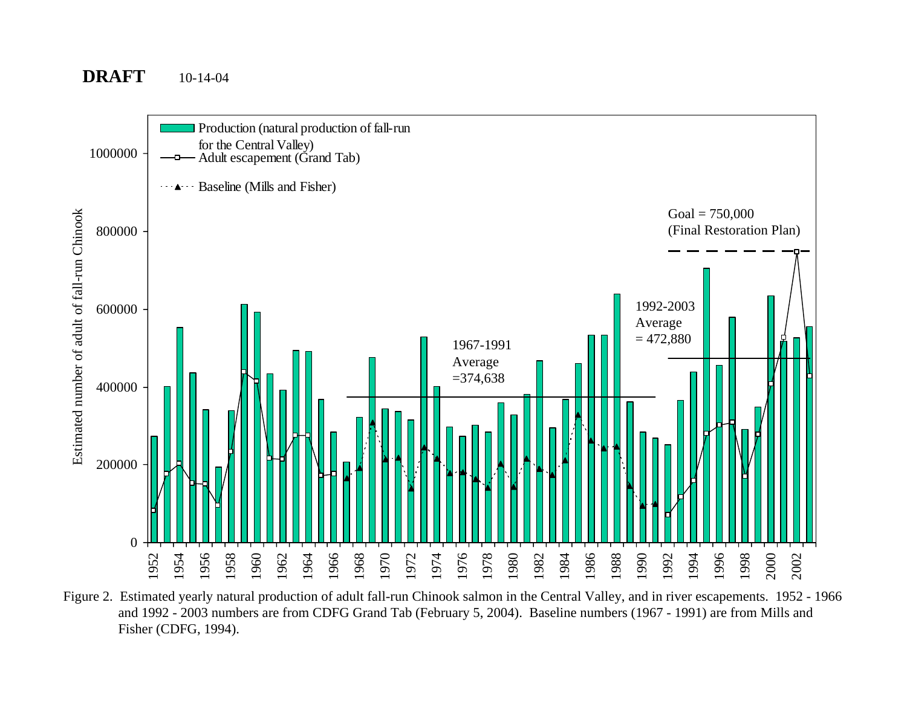

Figure 2. Estimated yearly natural production of adult fall-run Chinook salmon in the Central Valley, and in river escapements. 1952 - 1966 and 1992 - 2003 numbers are from CDFG Grand Tab (February 5, 2004). Baseline numbers (1967 - 1991) are from Mills and Fisher (CDFG, 1994).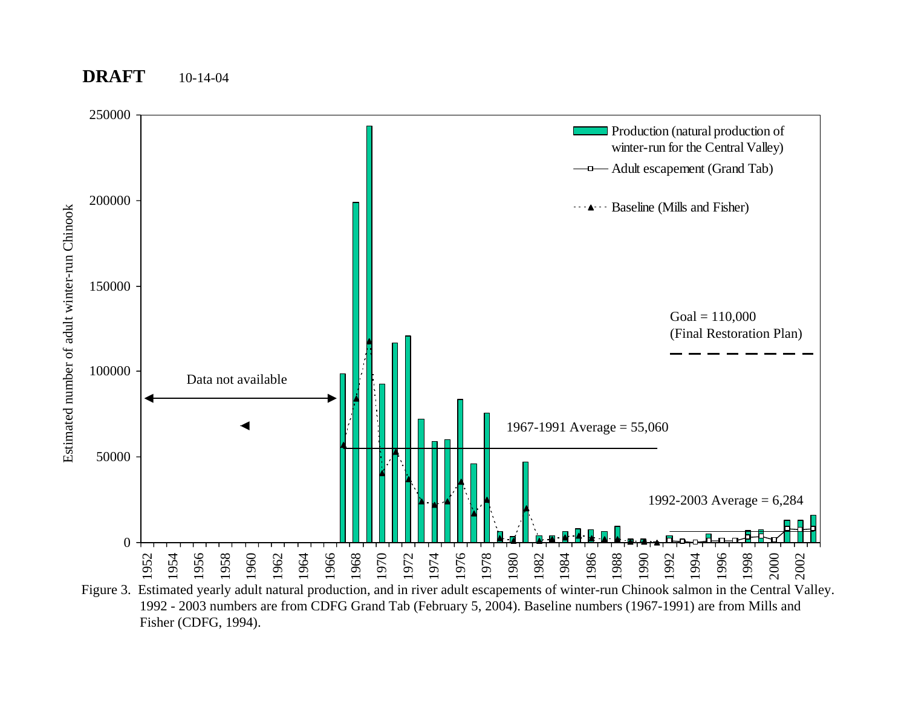

1992 - 2003 numbers are from CDFG Grand Tab (February 5, 2004). Baseline numbers (1967-1991) are from Mills and Fisher (CDFG, 1994).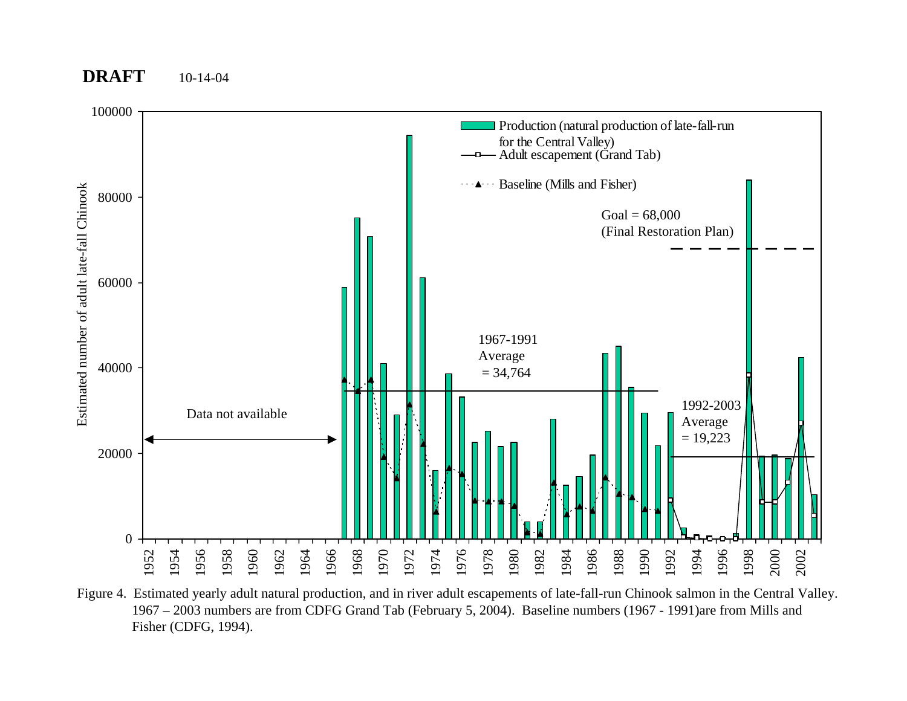

Figure 4. Estimated yearly adult natural production, and in river adult escapements of late-fall-run Chinook salmon in the Central Valley. 1967 – 2003 numbers are from CDFG Grand Tab (February 5, 2004). Baseline numbers (1967 - 1991)are from Mills and Fisher (CDFG, 1994).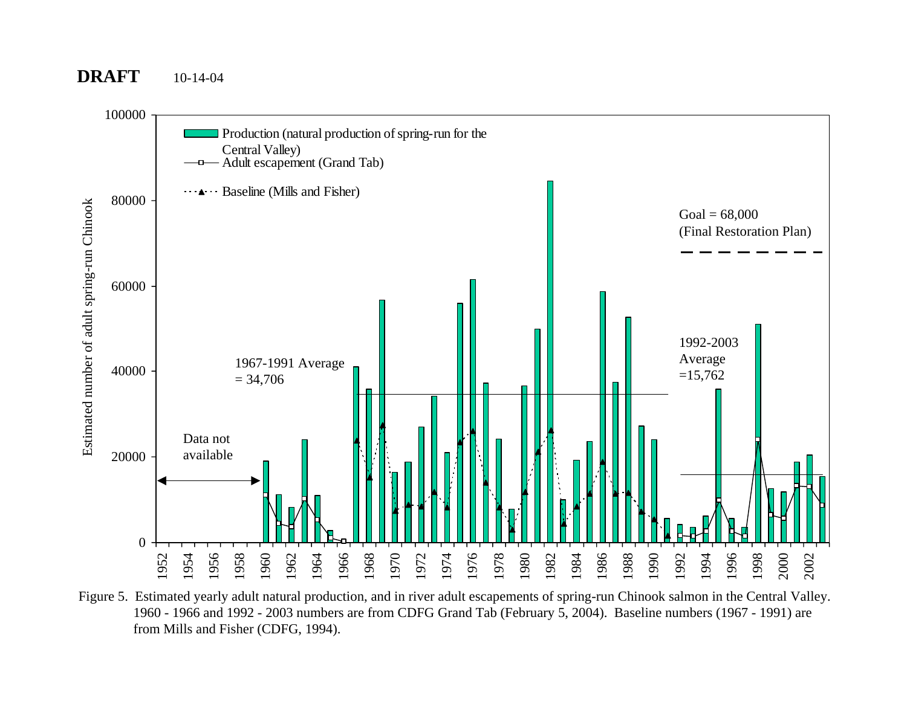

Figure 5. Estimated yearly adult natural production, and in river adult escapements of spring-run Chinook salmon in the Central Valley. 1960 - 1966 and 1992 - 2003 numbers are from CDFG Grand Tab (February 5, 2004). Baseline numbers (1967 - 1991) are from Mills and Fisher (CDFG, 1994).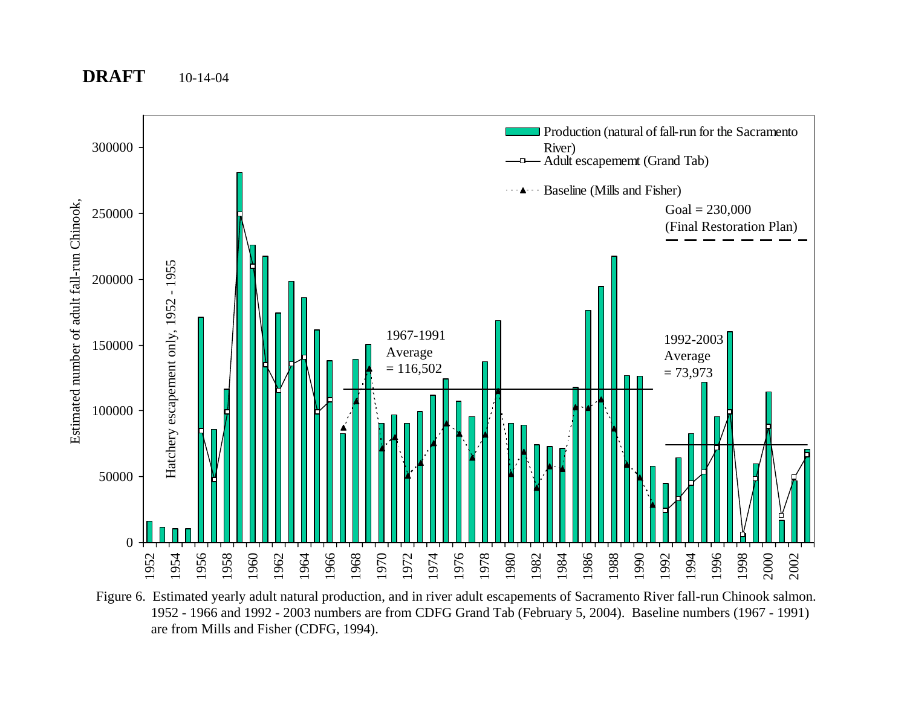

Figure 6. Estimated yearly adult natural production, and in river adult escapements of Sacramento River fall-run Chinook salmon. 1952 - 1966 and 1992 - 2003 numbers are from CDFG Grand Tab (February 5, 2004). Baseline numbers (1967 - 1991) are from Mills and Fisher (CDFG, 1994).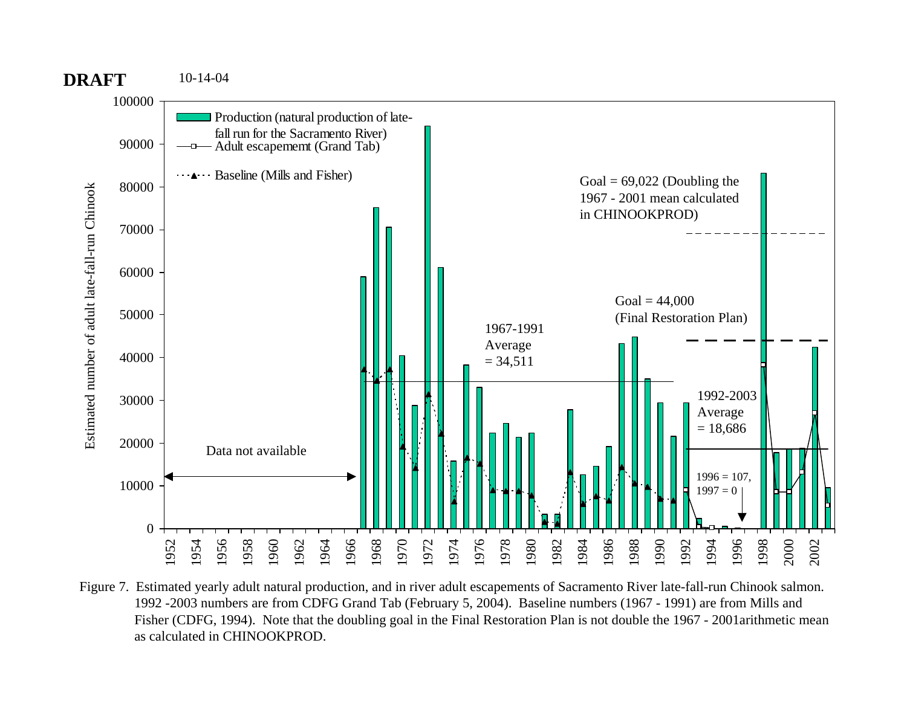

Figure 7. Estimated yearly adult natural production, and in river adult escapements of Sacramento River late-fall-run Chinook salmon. 1992 -2003 numbers are from CDFG Grand Tab (February 5, 2004). Baseline numbers (1967 - 1991) are from Mills and Fisher (CDFG, 1994). Note that the doubling goal in the Final Restoration Plan is not double the 1967 - 2001arithmetic mean as calculated in CHINOOKPROD.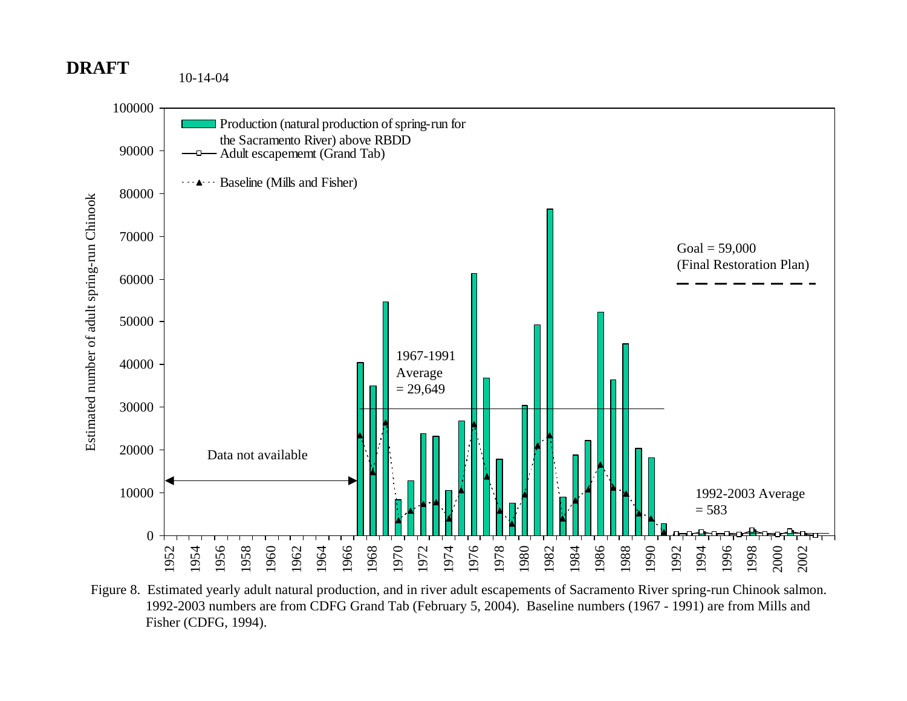# **DRAFT**

10-14-04



Figure 8. Estimated yearly adult natural production, and in river adult escapements of Sacramento River spring-run Chinook salmon. 1992-2003 numbers are from CDFG Grand Tab (February 5, 2004). Baseline numbers (1967 - 1991) are from Mills and Fisher (CDFG, 1994).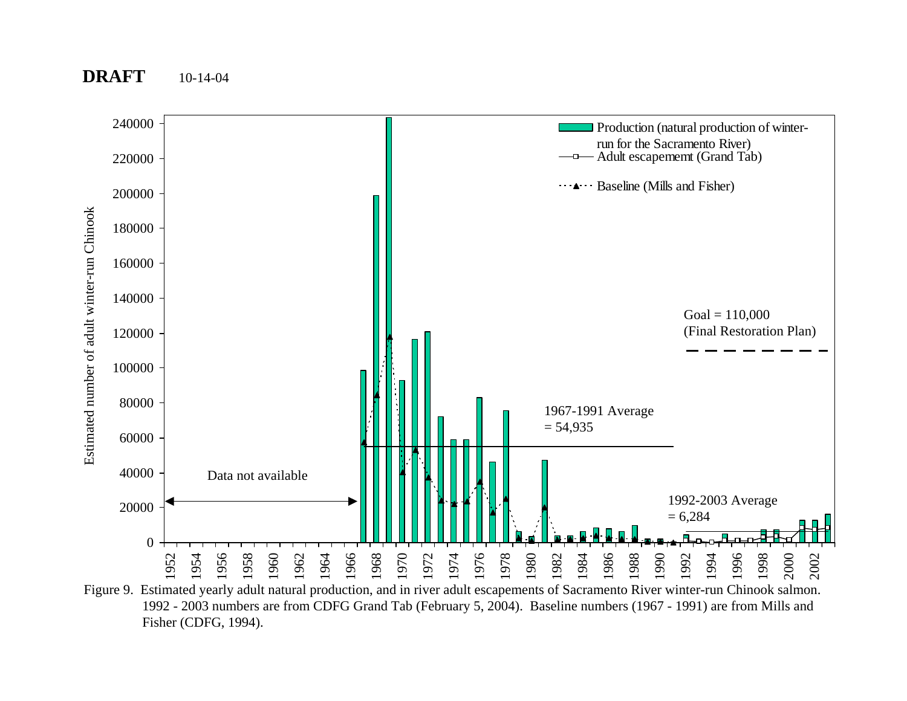

1992 - 2003 numbers are from CDFG Grand Tab (February 5, 2004). Baseline numbers (1967 - 1991) are from Mills and Fisher (CDFG, 1994).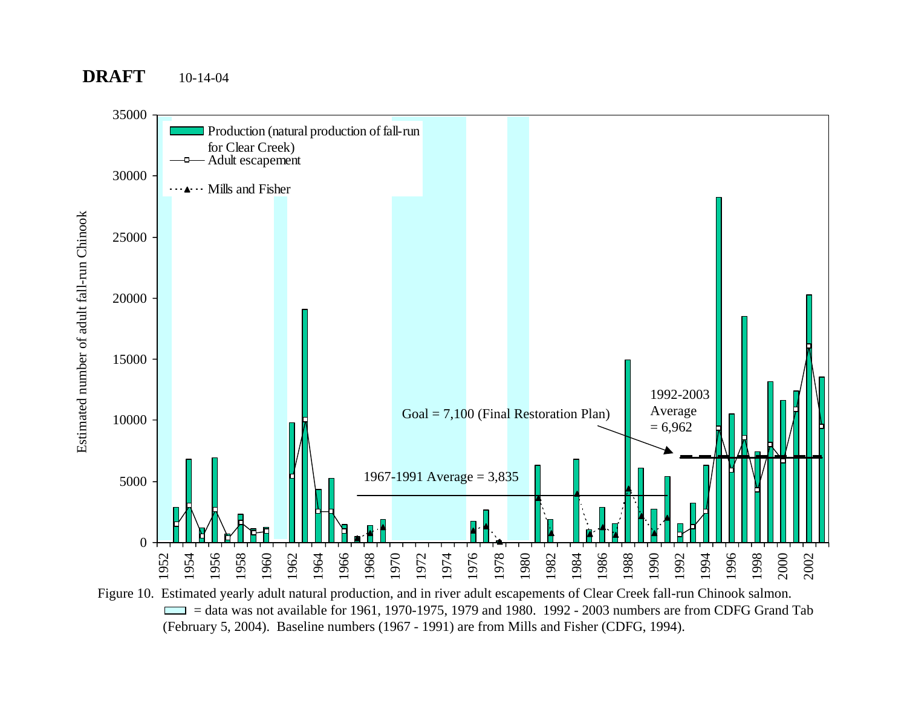

Figure 10. Estimated yearly adult natural production, and in river adult escapements of Clear Creek fall-run Chinook salmon.  $\Box$  = data was not available for 1961, 1970-1975, 1979 and 1980. 1992 - 2003 numbers are from CDFG Grand Tab (February 5, 2004). Baseline numbers (1967 - 1991) are from Mills and Fisher (CDFG, 1994).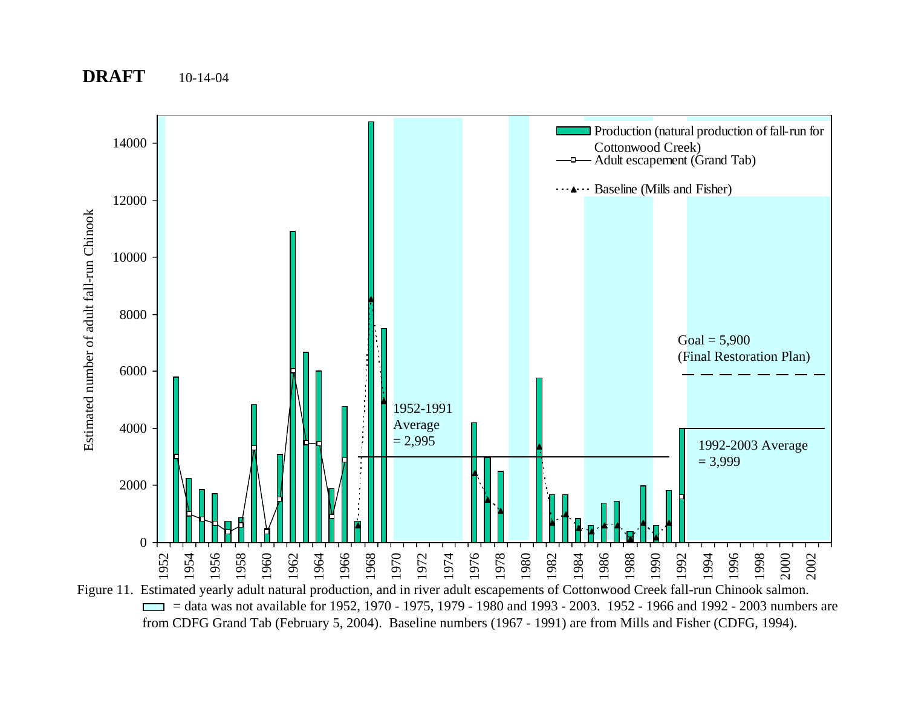

= data was not available for 1952, 1970 - 1975, 1979 - 1980 and 1993 - 2003. 1952 - 1966 and 1992 - 2003 numbers are from CDFG Grand Tab (February 5, 2004). Baseline numbers (1967 - 1991) are from Mills and Fisher (CDFG, 1994).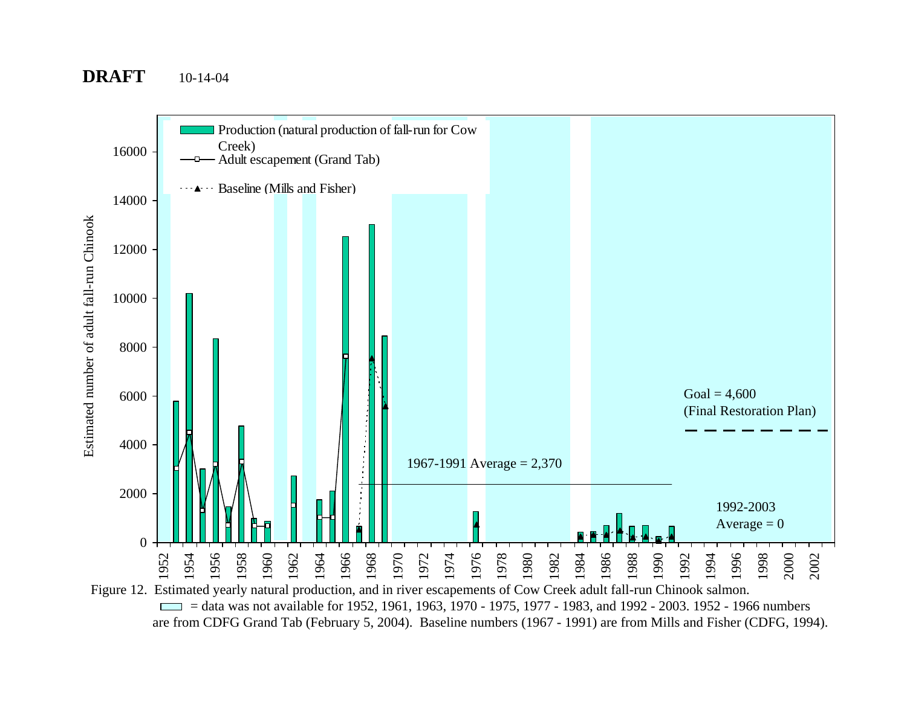

= data was not available for 1952, 1961, 1963, 1970 - 1975, 1977 - 1983, and 1992 - 2003. 1952 - 1966 numbers  $\mathcal{L}^{\text{max}}$ are from CDFG Grand Tab (February 5, 2004). Baseline numbers (1967 - 1991) are from Mills and Fisher (CDFG, 1994).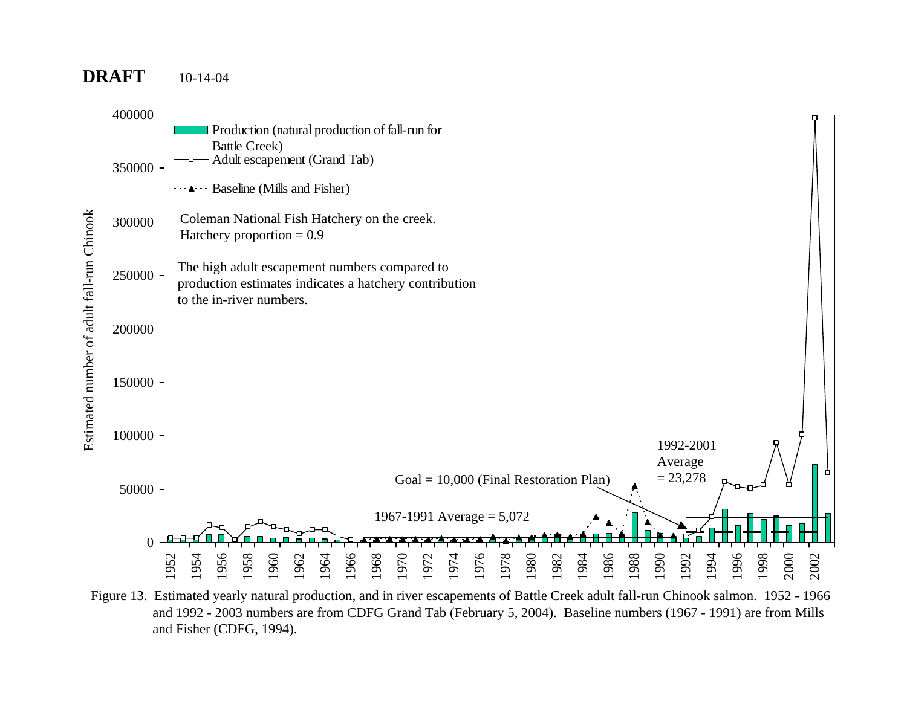

Figure 13. Estimated yearly natural production, and in river escapements of Battle Creek adult fall-run Chinook salmon. 1952 - 1966 and 1992 - 2003 numbers are from CDFG Grand Tab (February 5, 2004). Baseline numbers (1967 - 1991) are from Mills and Fisher (CDFG, 1994).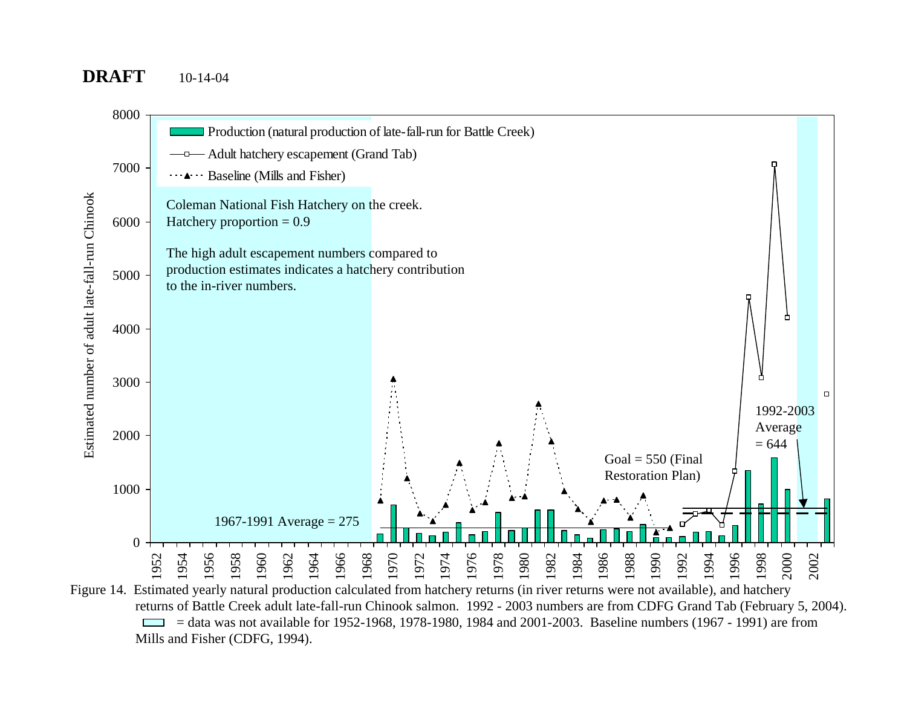

= data was not available for 1952-1968, 1978-1980, 1984 and 2001-2003. Baseline numbers (1967 - 1991) are from  $\mathcal{L}^{\text{max}}_{\text{max}}$ Mills and Fisher (CDFG, 1994).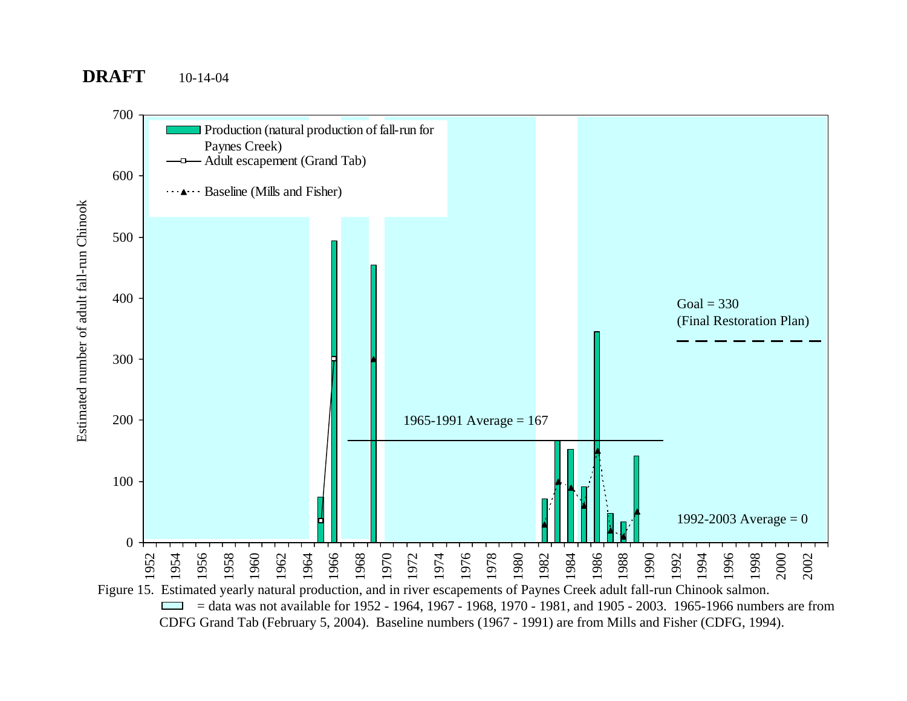

= data was not available for 1952 - 1964, 1967 - 1968, 1970 - 1981, and 1905 - 2003. 1965-1966 numbers are from  $\mathcal{L}^{\text{max}}$ CDFG Grand Tab (February 5, 2004). Baseline numbers (1967 - 1991) are from Mills and Fisher (CDFG, 1994).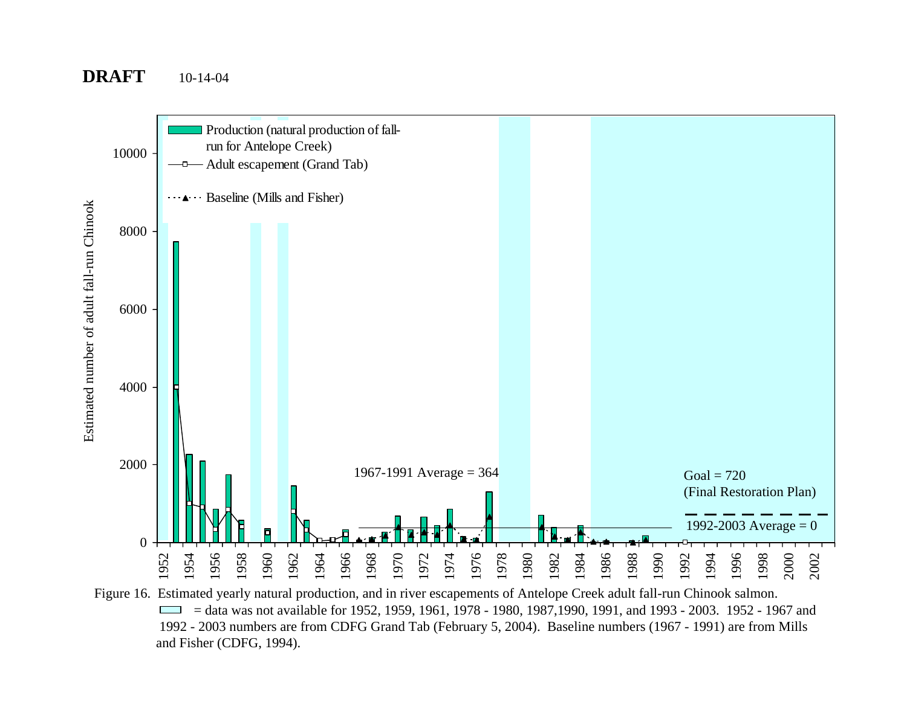

= data was not available for 1952, 1959, 1961, 1978 - 1980, 1987,1990, 1991, and 1993 - 2003. 1952 - 1967 and 1992 - 2003 numbers are from CDFG Grand Tab (February 5, 2004). Baseline numbers (1967 - 1991) are from Mills and Fisher (CDFG, 1994).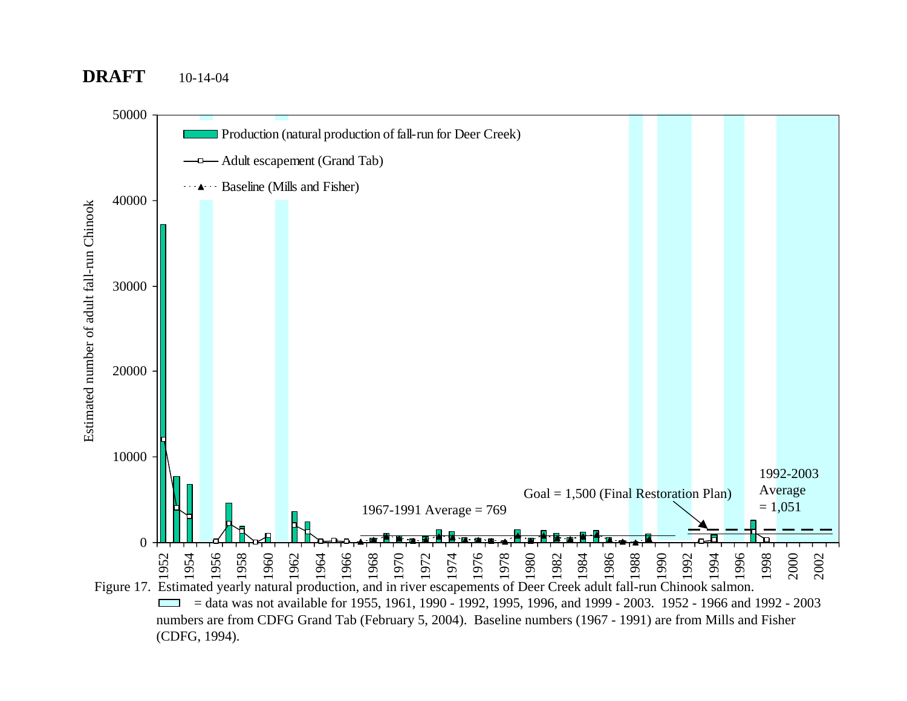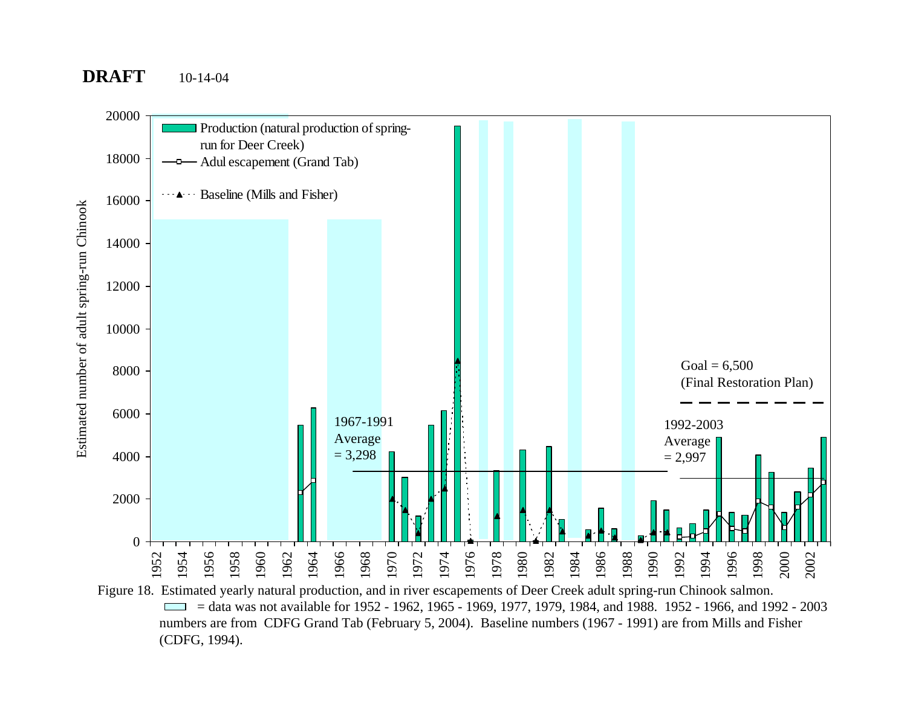

= data was not available for 1952 - 1962, 1965 - 1969, 1977, 1979, 1984, and 1988. 1952 - 1966, and 1992 - 2003  $\mathcal{L}^{\text{max}}$ numbers are from CDFG Grand Tab (February 5, 2004). Baseline numbers (1967 - 1991) are from Mills and Fisher (CDFG, 1994).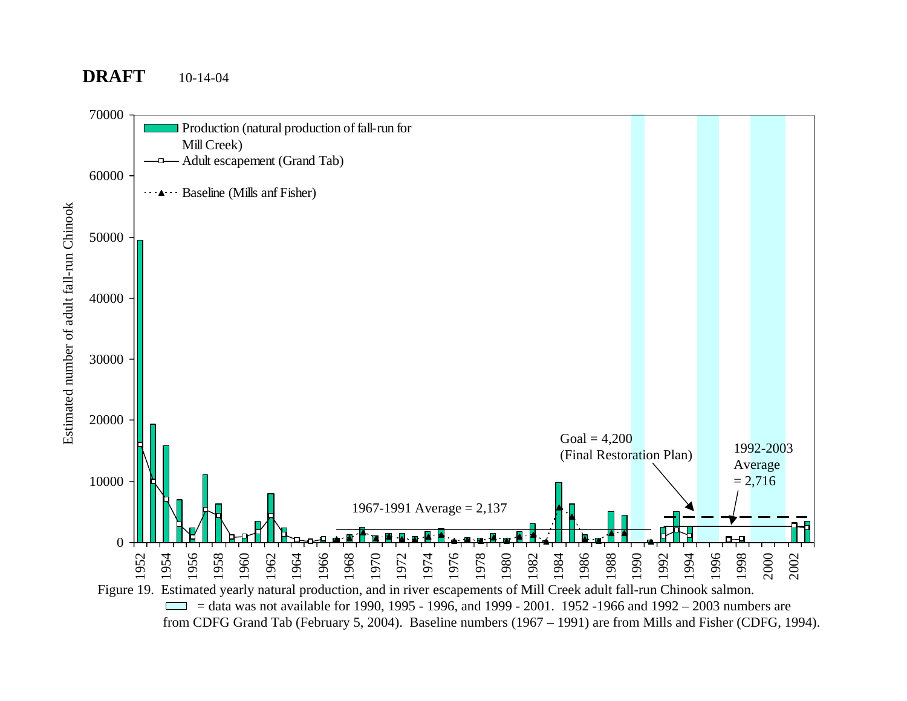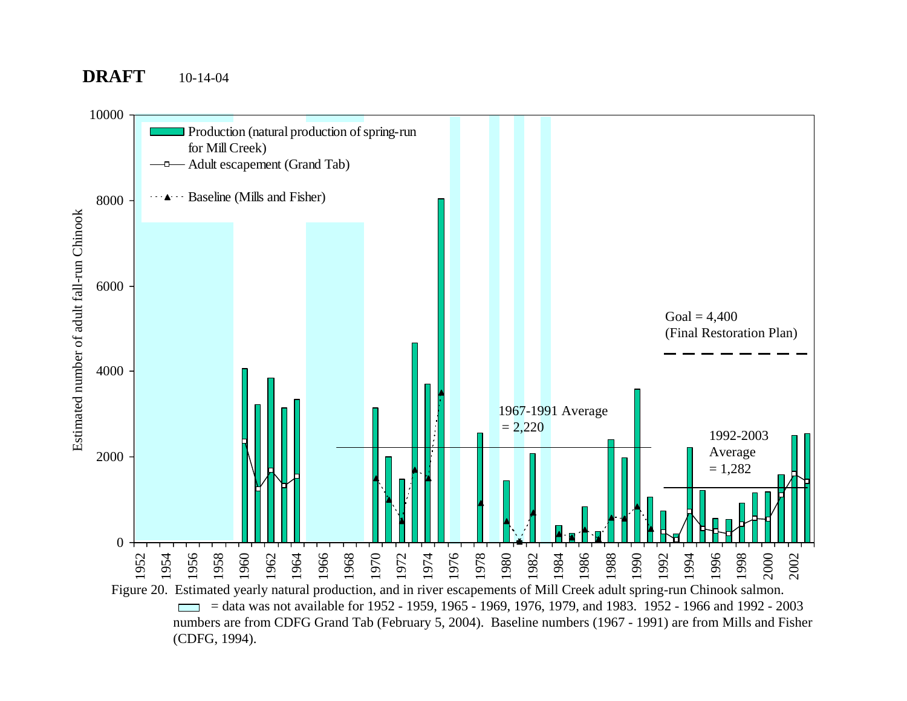

(CDFG, 1994).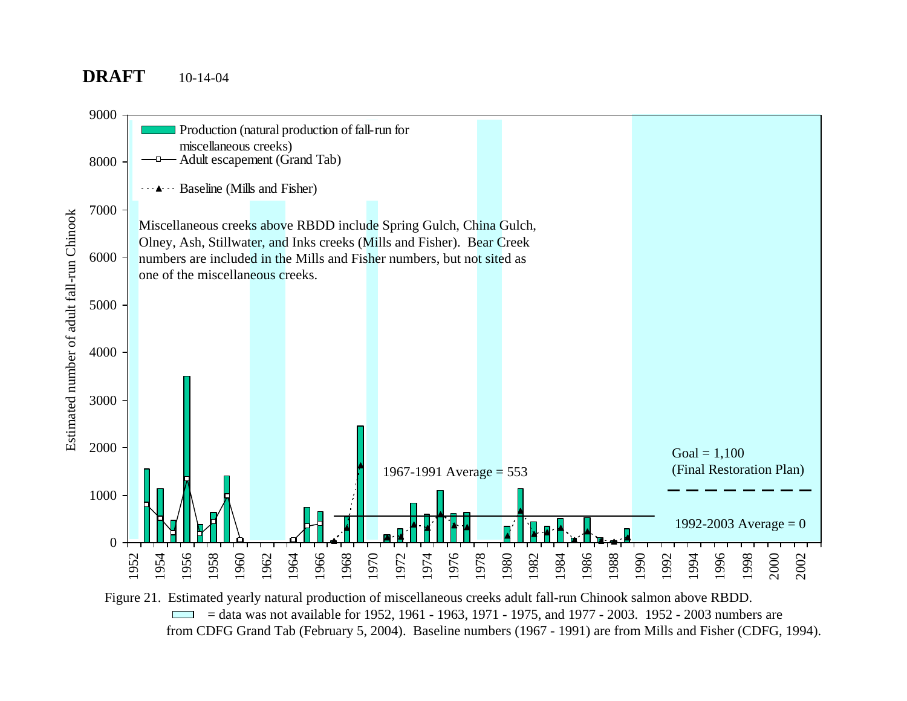

from CDFG Grand Tab (February 5, 2004). Baseline numbers (1967 - 1991) are from Mills and Fisher (CDFG, 1994).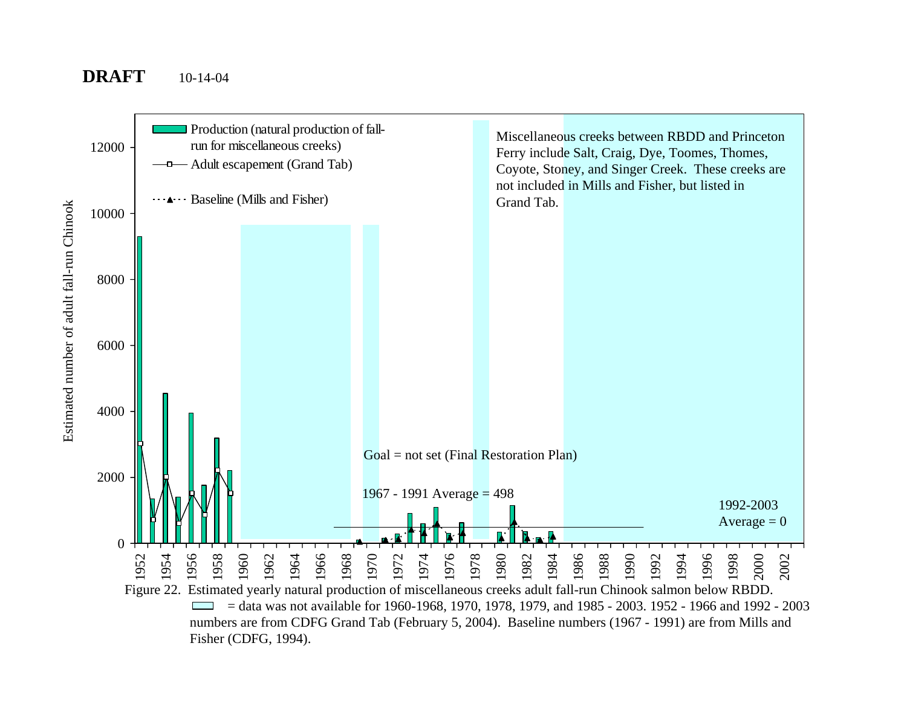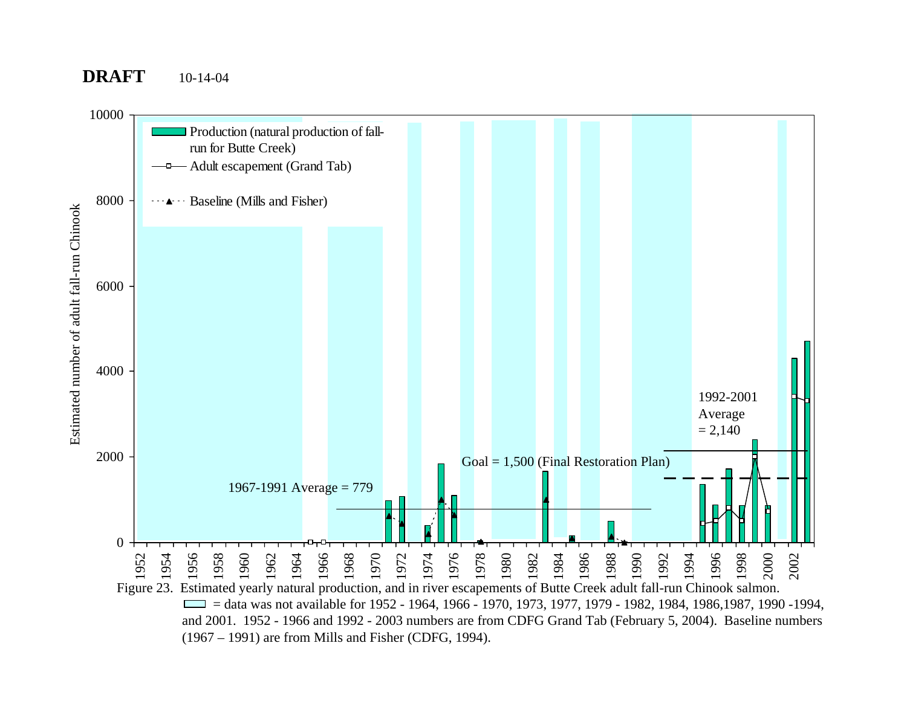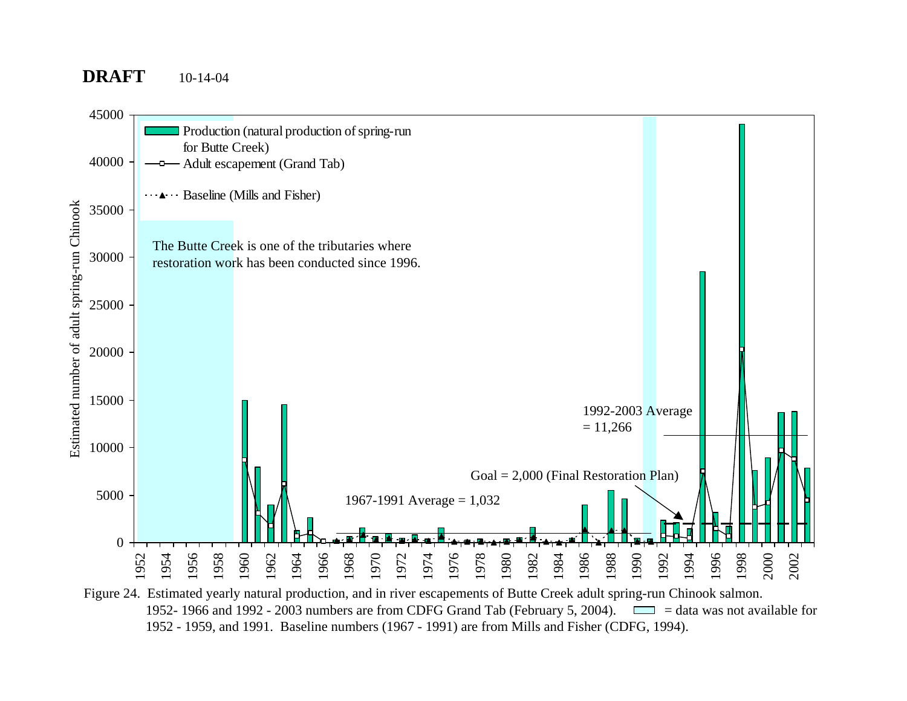

1952- 1966 and 1992 - 2003 numbers are from CDFG Grand Tab (February 5, 2004).  $\Box$  = data was not available for 1952 - 1959, and 1991. Baseline numbers (1967 - 1991) are from Mills and Fisher (CDFG, 1994).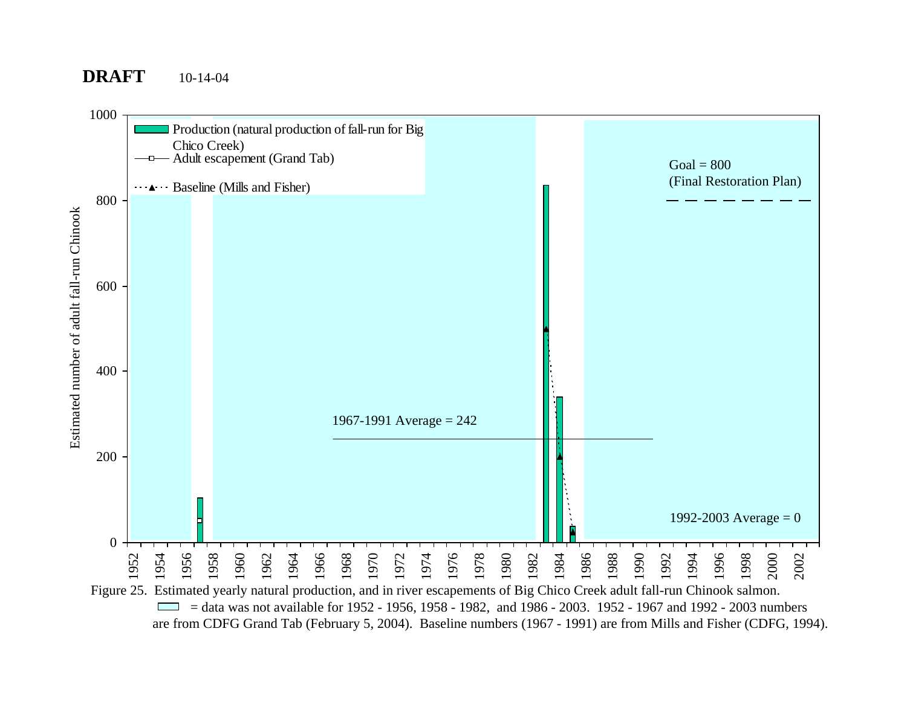

are from CDFG Grand Tab (February 5, 2004). Baseline numbers (1967 - 1991) are from Mills and Fisher (CDFG, 1994).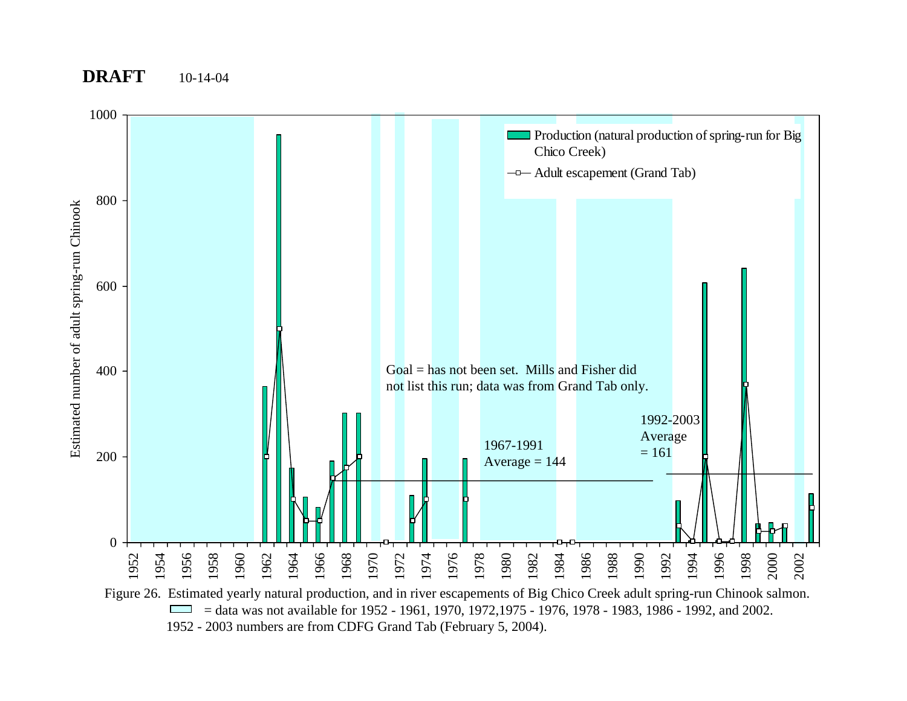

1952 - 2003 numbers are from CDFG Grand Tab (February 5, 2004).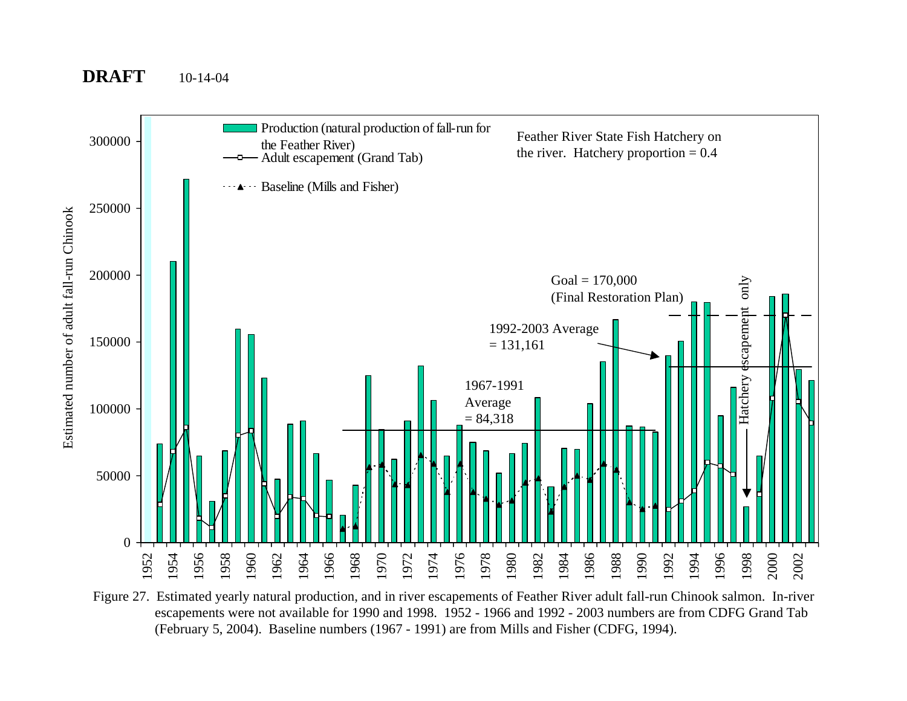

Figure 27. Estimated yearly natural production, and in river escapements of Feather River adult fall-run Chinook salmon. In-river escapements were not available for 1990 and 1998. 1952 - 1966 and 1992 - 2003 numbers are from CDFG Grand Tab (February 5, 2004). Baseline numbers (1967 - 1991) are from Mills and Fisher (CDFG, 1994).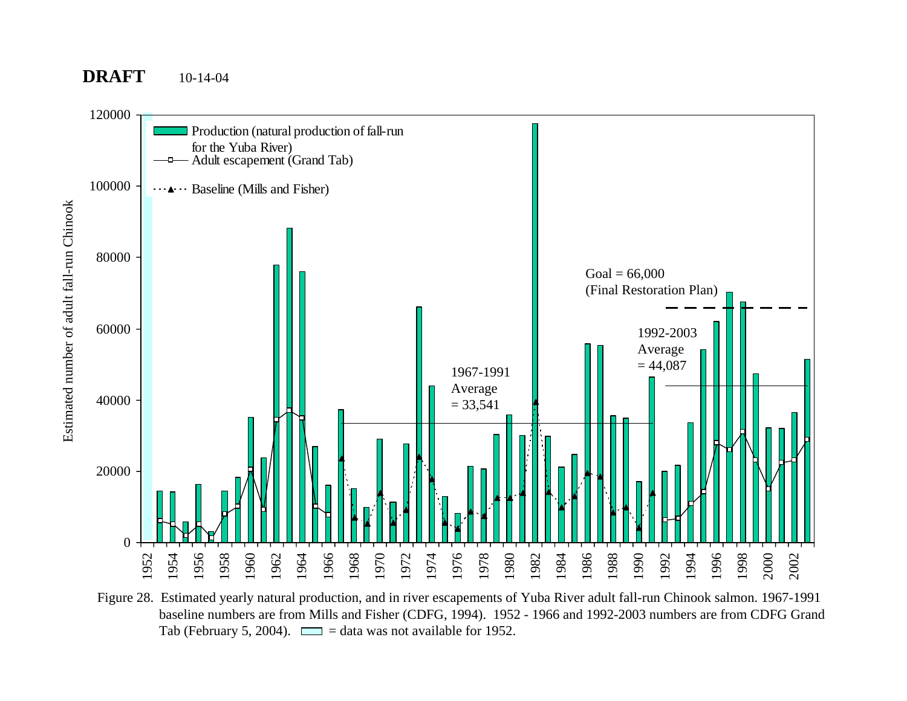

Figure 28. Estimated yearly natural production, and in river escapements of Yuba River adult fall-run Chinook salmon. 1967-1991 baseline numbers are from Mills and Fisher (CDFG, 1994). 1952 - 1966 and 1992-2003 numbers are from CDFG Grand Tab (February 5, 2004).  $\Box$  = data was not available for 1952.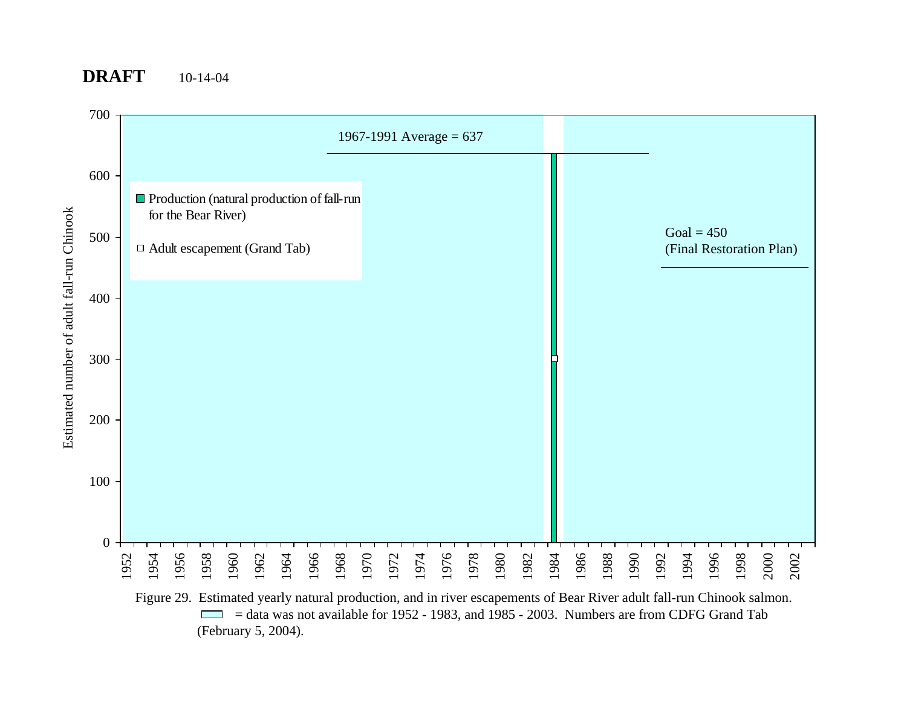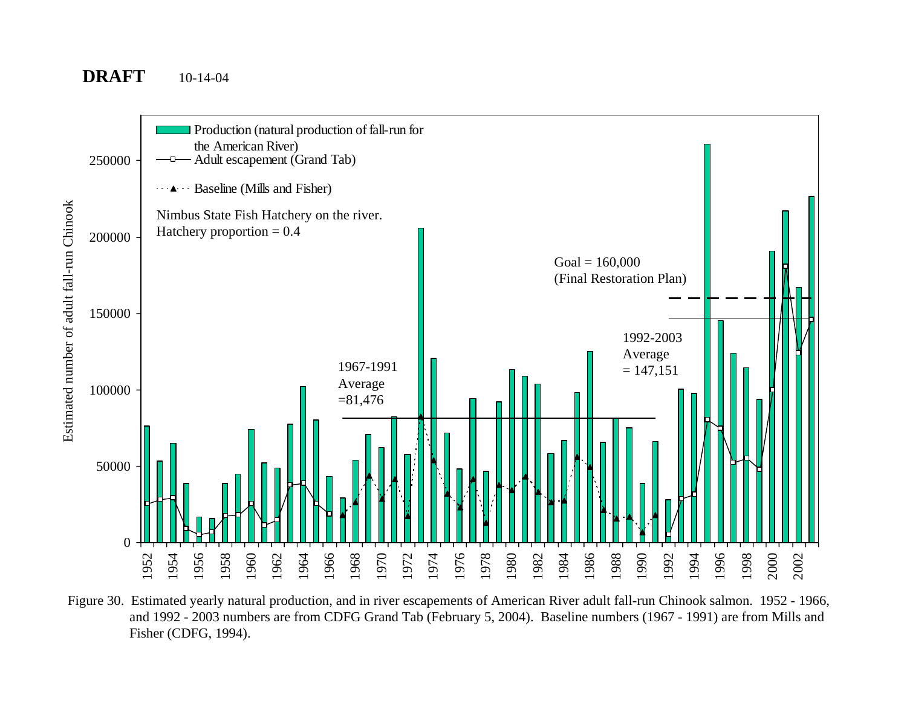

Figure 30. Estimated yearly natural production, and in river escapements of American River adult fall-run Chinook salmon. 1952 - 1966, and 1992 - 2003 numbers are from CDFG Grand Tab (February 5, 2004). Baseline numbers (1967 - 1991) are from Mills and Fisher (CDFG, 1994).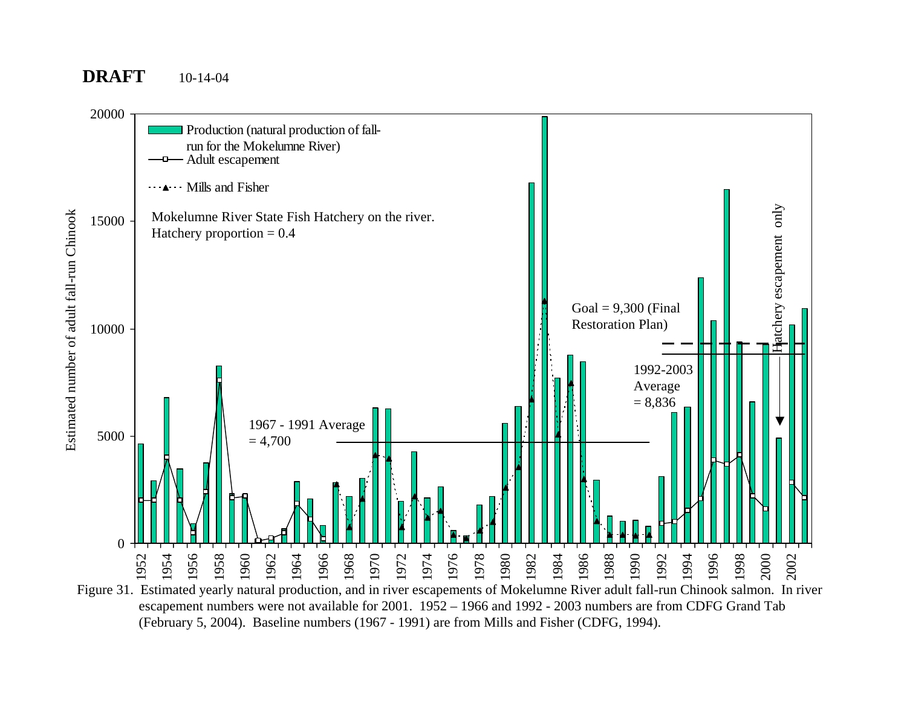

escapement numbers were not available for 2001. 1952 – 1966 and 1992 - 2003 numbers are from CDFG Grand Tab (February 5, 2004). Baseline numbers (1967 - 1991) are from Mills and Fisher (CDFG, 1994).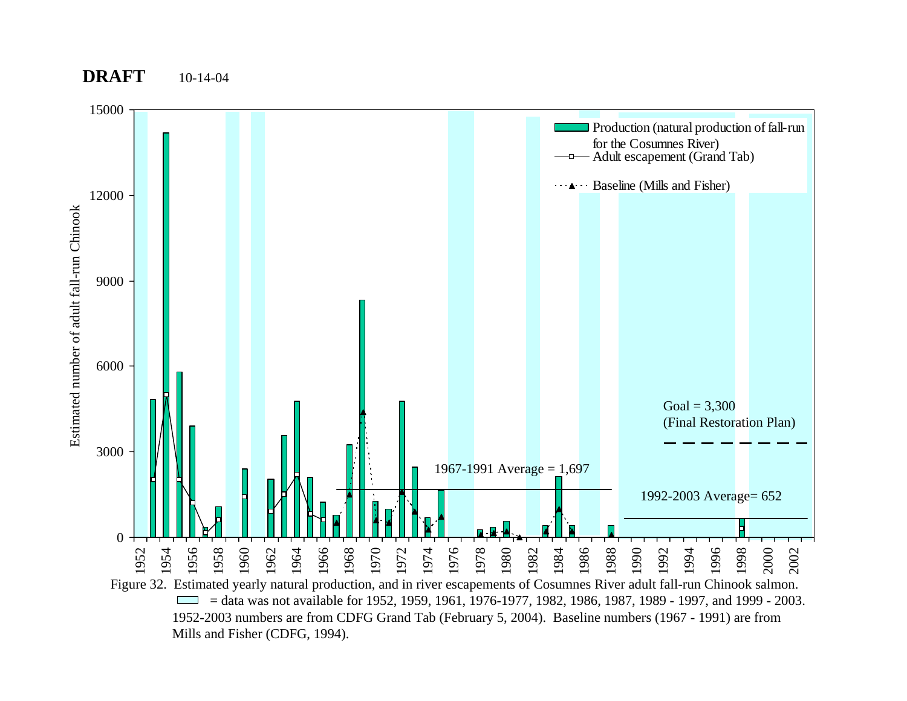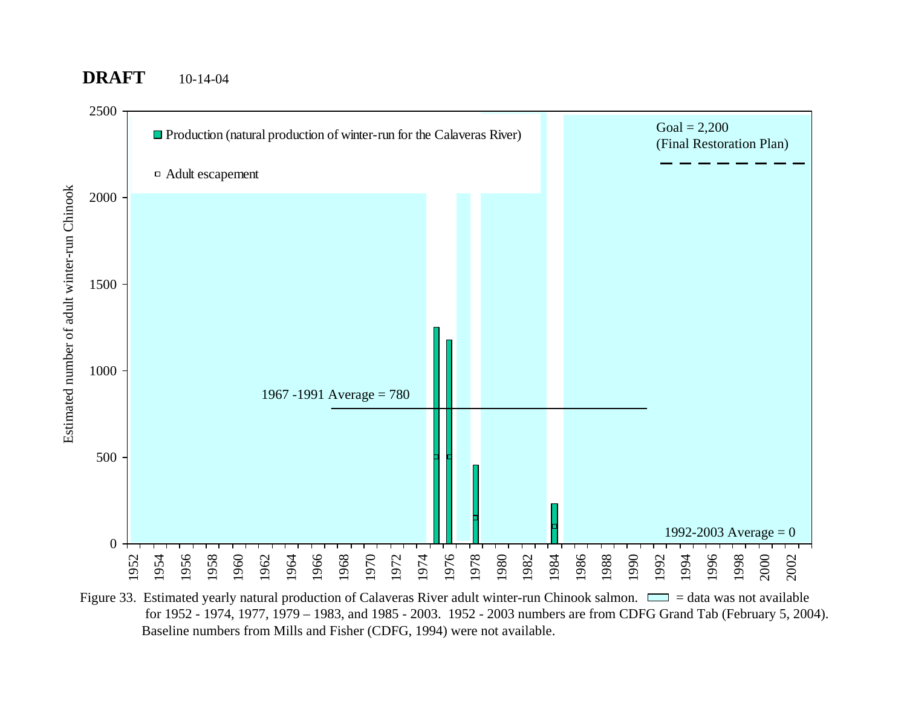

Figure 33. Estimated yearly natural production of Calaveras River adult winter-run Chinook salmon.  $\Box$  = data was not available for 1952 - 1974, 1977, 1979 – 1983, and 1985 - 2003. 1952 - 2003 numbers are from CDFG Grand Tab (February 5, 2004). Baseline numbers from Mills and Fisher (CDFG, 1994) were not available.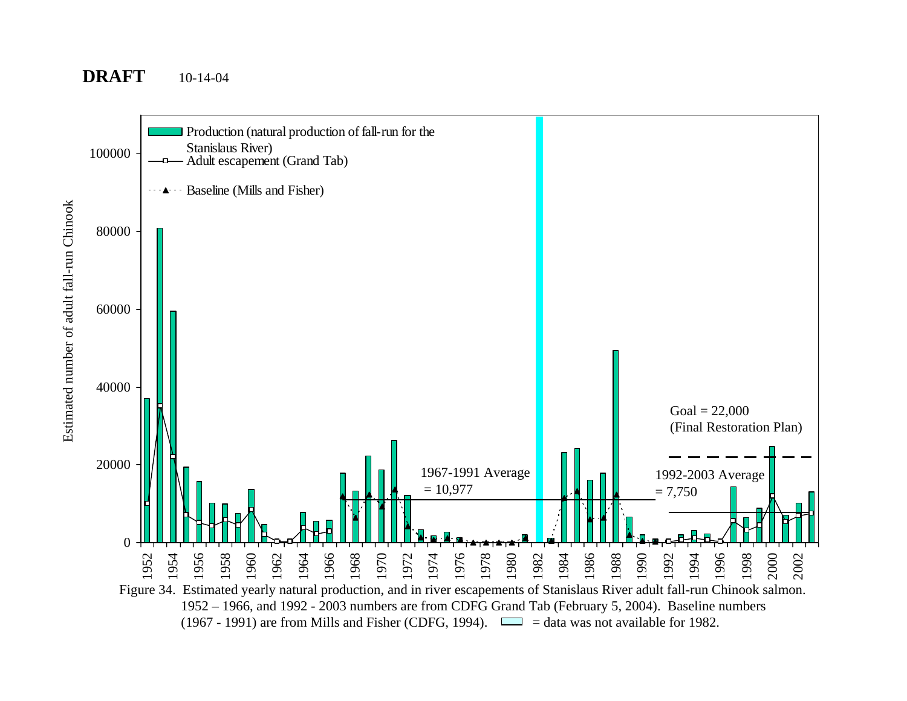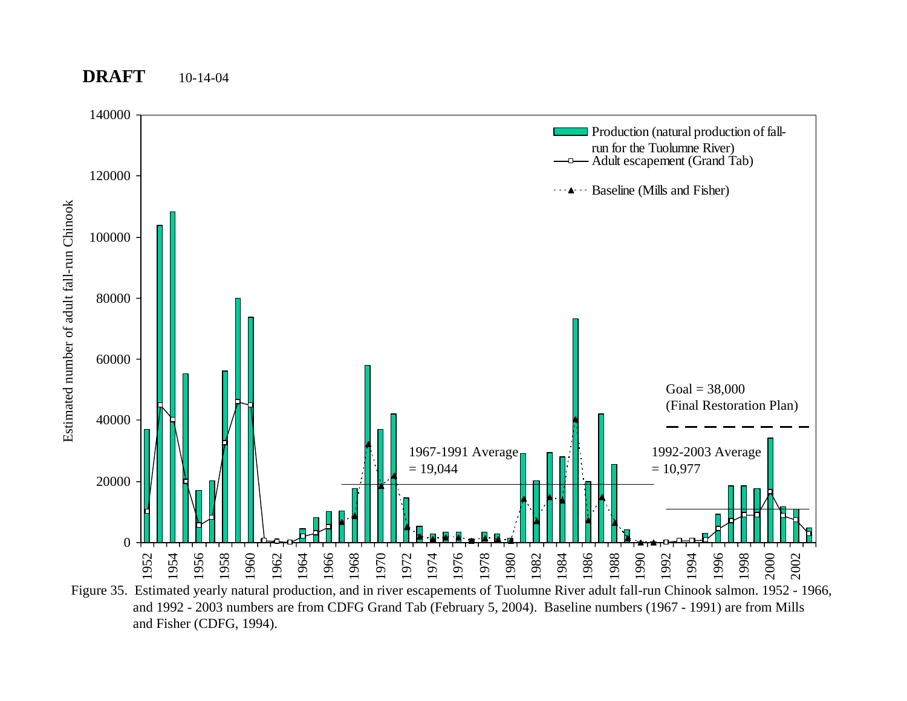

Figure 35. Estimated yearly natural production, and in river escapements of Tuolumne River adult fall-run Chinook salmon. 1952 - 1966, and 1992 - 2003 numbers are from CDFG Grand Tab (February 5, 2004). Baseline numbers (1967 - 1991) are from Mills and Fisher (CDFG, 1994).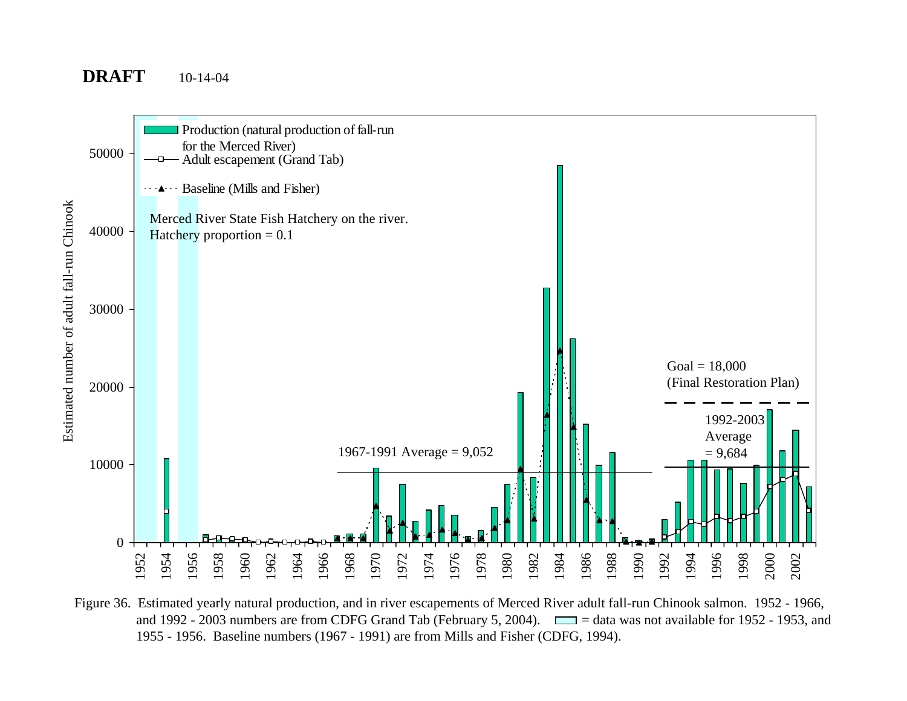

Figure 36. Estimated yearly natural production, and in river escapements of Merced River adult fall-run Chinook salmon. 1952 - 1966, and 1992 - 2003 numbers are from CDFG Grand Tab (February 5, 2004).  $\Box$  = data was not available for 1952 - 1953, and 1955 - 1956. Baseline numbers (1967 - 1991) are from Mills and Fisher (CDFG, 1994).